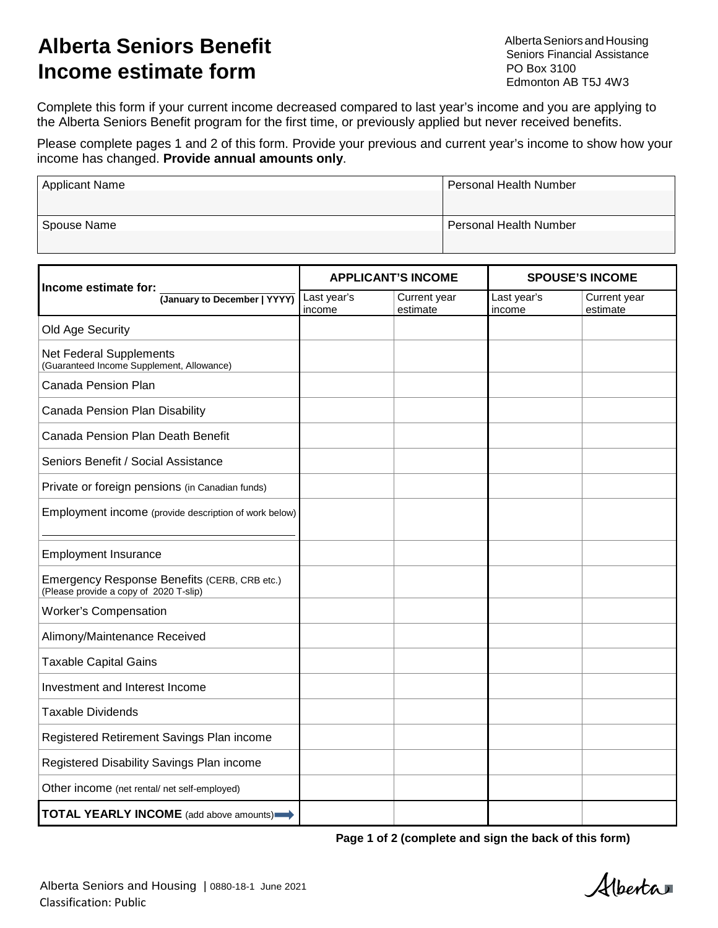# **Alberta Seniors Benefit Income estimate form**

AlbertaSeniorsandHousing Seniors Financial Assistance PO Box 3100 Edmonton AB T5J 4W3

Complete this form if your current income decreased compared to last year's income and you are applying to the Alberta Seniors Benefit program for the first time, or previously applied but never received benefits.

Please complete pages 1 and 2 of this form. Provide your previous and current year's income to show how your income has changed. **Provide annual amounts only**.

| <b>Applicant Name</b> | Personal Health Number        |
|-----------------------|-------------------------------|
|                       |                               |
| Spouse Name           | <b>Personal Health Number</b> |
|                       |                               |

| Income estimate for:                                                                   | <b>APPLICANT'S INCOME</b> |                          | <b>SPOUSE'S INCOME</b> |                          |
|----------------------------------------------------------------------------------------|---------------------------|--------------------------|------------------------|--------------------------|
| (January to December   YYYY)                                                           | Last year's<br>income     | Current year<br>estimate | Last year's<br>income  | Current year<br>estimate |
| Old Age Security                                                                       |                           |                          |                        |                          |
| Net Federal Supplements<br>(Guaranteed Income Supplement, Allowance)                   |                           |                          |                        |                          |
| Canada Pension Plan                                                                    |                           |                          |                        |                          |
| Canada Pension Plan Disability                                                         |                           |                          |                        |                          |
| Canada Pension Plan Death Benefit                                                      |                           |                          |                        |                          |
| Seniors Benefit / Social Assistance                                                    |                           |                          |                        |                          |
| Private or foreign pensions (in Canadian funds)                                        |                           |                          |                        |                          |
| Employment income (provide description of work below)                                  |                           |                          |                        |                          |
| <b>Employment Insurance</b>                                                            |                           |                          |                        |                          |
| Emergency Response Benefits (CERB, CRB etc.)<br>(Please provide a copy of 2020 T-slip) |                           |                          |                        |                          |
| <b>Worker's Compensation</b>                                                           |                           |                          |                        |                          |
| Alimony/Maintenance Received                                                           |                           |                          |                        |                          |
| <b>Taxable Capital Gains</b>                                                           |                           |                          |                        |                          |
| Investment and Interest Income                                                         |                           |                          |                        |                          |
| <b>Taxable Dividends</b>                                                               |                           |                          |                        |                          |
| Registered Retirement Savings Plan income                                              |                           |                          |                        |                          |
| Registered Disability Savings Plan income                                              |                           |                          |                        |                          |
| Other income (net rental/ net self-employed)                                           |                           |                          |                        |                          |
| <b>TOTAL YEARLY INCOME</b> (add above amounts)                                         |                           |                          |                        |                          |

**Page 1 of 2 (complete and sign the back of this form)**

Alberta